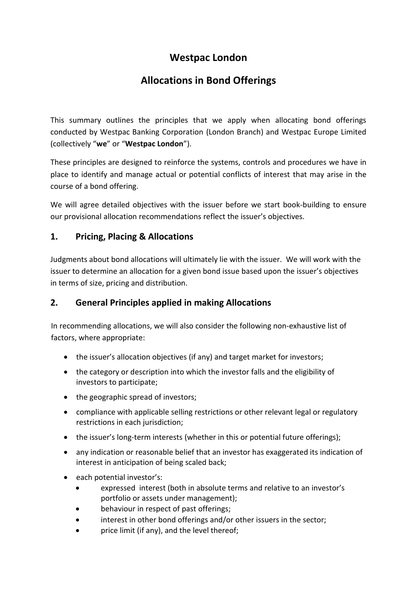# **Westpac London**

# **Allocations in Bond Offerings**

This summary outlines the principles that we apply when allocating bond offerings conducted by Westpac Banking Corporation (London Branch) and Westpac Europe Limited (collectively "**we**" or "**Westpac London**").

These principles are designed to reinforce the systems, controls and procedures we have in place to identify and manage actual or potential conflicts of interest that may arise in the course of a bond offering.

We will agree detailed objectives with the issuer before we start book-building to ensure our provisional allocation recommendations reflect the issuer's objectives.

### **1. Pricing, Placing & Allocations**

Judgments about bond allocations will ultimately lie with the issuer. We will work with the issuer to determine an allocation for a given bond issue based upon the issuer's objectives in terms of size, pricing and distribution.

### **2. General Principles applied in making Allocations**

In recommending allocations, we will also consider the following non-exhaustive list of factors, where appropriate:

- the issuer's allocation objectives (if any) and target market for investors;
- the category or description into which the investor falls and the eligibility of investors to participate;
- the geographic spread of investors;
- compliance with applicable selling restrictions or other relevant legal or regulatory restrictions in each jurisdiction;
- the issuer's long-term interests (whether in this or potential future offerings);
- any indication or reasonable belief that an investor has exaggerated its indication of interest in anticipation of being scaled back;
- each potential investor's:
	- expressed interest (both in absolute terms and relative to an investor's portfolio or assets under management);
	- behaviour in respect of past offerings;
	- interest in other bond offerings and/or other issuers in the sector;
	- price limit (if any), and the level thereof;